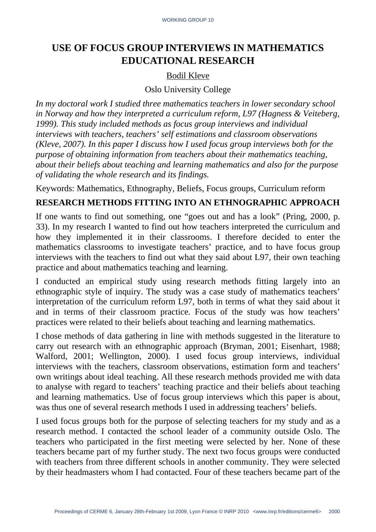# **USE OF FOCUS GROUP INTERVIEWS IN MATHEMATICS EDUCATIONAL RESEARCH**

## Bodil Kleve

#### Oslo University College

*In my doctoral work I studied three mathematics teachers in lower secondary school in Norway and how they interpreted a curriculum reform, L97 (Hagness & Veiteberg, 1999). This study included methods as focus group interviews and individual interviews with teachers, teachers' self estimations and classroom observations (Kleve, 2007). In this paper I discuss how I used focus group interviews both for the purpose of obtaining information from teachers about their mathematics teaching, about their beliefs about teaching and learning mathematics and also for the purpose of validating the whole research and its findings.* 

Keywords: Mathematics, Ethnography, Beliefs, Focus groups, Curriculum reform

# **RESEARCH METHODS FITTING INTO AN ETHNOGRAPHIC APPROACH**

If one wants to find out something, one "goes out and has a look" (Pring, 2000, p. 33). In my research I wanted to find out how teachers interpreted the curriculum and how they implemented it in their classrooms. I therefore decided to enter the mathematics classrooms to investigate teachers' practice, and to have focus group interviews with the teachers to find out what they said about L97, their own teaching practice and about mathematics teaching and learning.

I conducted an empirical study using research methods fitting largely into an ethnographic style of inquiry. The study was a case study of mathematics teachers' interpretation of the curriculum reform L97, both in terms of what they said about it and in terms of their classroom practice. Focus of the study was how teachers' practices were related to their beliefs about teaching and learning mathematics.

I chose methods of data gathering in line with methods suggested in the literature to carry out research with an ethnographic approach (Bryman, 2001; Eisenhart, 1988; Walford, 2001; Wellington, 2000). I used focus group interviews, individual interviews with the teachers, classroom observations, estimation form and teachers' own writings about ideal teaching. All these research methods provided me with data to analyse with regard to teachers' teaching practice and their beliefs about teaching and learning mathematics. Use of focus group interviews which this paper is about, was thus one of several research methods I used in addressing teachers' beliefs.

I used focus groups both for the purpose of selecting teachers for my study and as a research method. I contacted the school leader of a community outside Oslo. The teachers who participated in the first meeting were selected by her. None of these teachers became part of my further study. The next two focus groups were conducted with teachers from three different schools in another community. They were selected by their headmasters whom I had contacted. Four of these teachers became part of the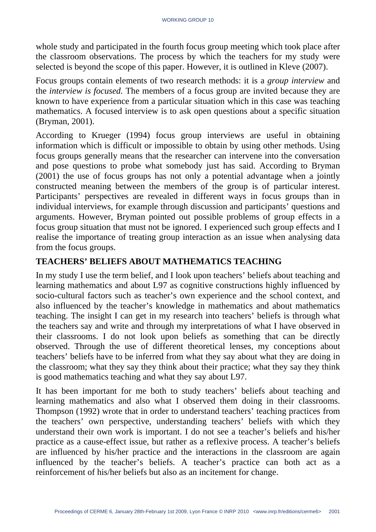whole study and participated in the fourth focus group meeting which took place after the classroom observations. The process by which the teachers for my study were selected is beyond the scope of this paper. However, it is outlined in Kleve (2007).

Focus groups contain elements of two research methods: it is a *group interview* and the *interview is focused.* The members of a focus group are invited because they are known to have experience from a particular situation which in this case was teaching mathematics. A focused interview is to ask open questions about a specific situation (Bryman, 2001).

According to Krueger (1994) focus group interviews are useful in obtaining information which is difficult or impossible to obtain by using other methods. Using focus groups generally means that the researcher can intervene into the conversation and pose questions to probe what somebody just has said. According to Bryman (2001) the use of focus groups has not only a potential advantage when a jointly constructed meaning between the members of the group is of particular interest. Participants' perspectives are revealed in different ways in focus groups than in individual interviews, for example through discussion and participants' questions and arguments. However, Bryman pointed out possible problems of group effects in a focus group situation that must not be ignored. I experienced such group effects and I realise the importance of treating group interaction as an issue when analysing data from the focus groups.

# **TEACHERS' BELIEFS ABOUT MATHEMATICS TEACHING**

In my study I use the term belief, and I look upon teachers' beliefs about teaching and learning mathematics and about L97 as cognitive constructions highly influenced by socio-cultural factors such as teacher's own experience and the school context, and also influenced by the teacher's knowledge in mathematics and about mathematics teaching. The insight I can get in my research into teachers' beliefs is through what the teachers say and write and through my interpretations of what I have observed in their classrooms. I do not look upon beliefs as something that can be directly observed. Through the use of different theoretical lenses, my conceptions about teachers' beliefs have to be inferred from what they say about what they are doing in the classroom; what they say they think about their practice; what they say they think is good mathematics teaching and what they say about L97.

It has been important for me both to study teachers' beliefs about teaching and learning mathematics and also what I observed them doing in their classrooms. Thompson (1992) wrote that in order to understand teachers' teaching practices from the teachers' own perspective, understanding teachers' beliefs with which they understand their own work is important. I do not see a teacher's beliefs and his/her practice as a cause-effect issue, but rather as a reflexive process. A teacher's beliefs are influenced by his/her practice and the interactions in the classroom are again influenced by the teacher's beliefs. A teacher's practice can both act as a reinforcement of his/her beliefs but also as an incitement for change.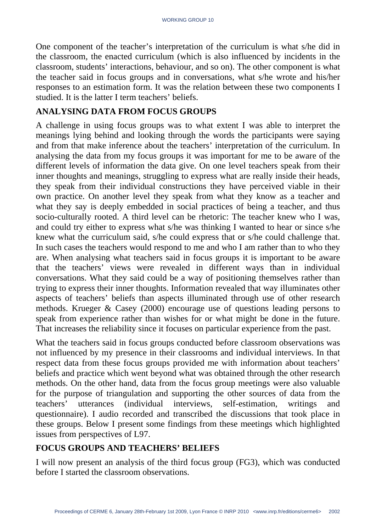One component of the teacher's interpretation of the curriculum is what s/he did in the classroom, the enacted curriculum (which is also influenced by incidents in the classroom, students' interactions, behaviour, and so on). The other component is what the teacher said in focus groups and in conversations, what s/he wrote and his/her responses to an estimation form. It was the relation between these two components I studied. It is the latter I term teachers' beliefs.

## **ANALYSING DATA FROM FOCUS GROUPS**

A challenge in using focus groups was to what extent I was able to interpret the meanings lying behind and looking through the words the participants were saying and from that make inference about the teachers' interpretation of the curriculum. In analysing the data from my focus groups it was important for me to be aware of the different levels of information the data give. On one level teachers speak from their inner thoughts and meanings, struggling to express what are really inside their heads, they speak from their individual constructions they have perceived viable in their own practice. On another level they speak from what they know as a teacher and what they say is deeply embedded in social practices of being a teacher, and thus socio-culturally rooted. A third level can be rhetoric: The teacher knew who I was, and could try either to express what s/he was thinking I wanted to hear or since s/he knew what the curriculum said, s/he could express that or s/he could challenge that. In such cases the teachers would respond to me and who I am rather than to who they are. When analysing what teachers said in focus groups it is important to be aware that the teachers' views were revealed in different ways than in individual conversations. What they said could be a way of positioning themselves rather than trying to express their inner thoughts. Information revealed that way illuminates other aspects of teachers' beliefs than aspects illuminated through use of other research methods. Krueger & Casey (2000) encourage use of questions leading persons to speak from experience rather than wishes for or what might be done in the future. That increases the reliability since it focuses on particular experience from the past.

What the teachers said in focus groups conducted before classroom observations was not influenced by my presence in their classrooms and individual interviews. In that respect data from these focus groups provided me with information about teachers' beliefs and practice which went beyond what was obtained through the other research methods. On the other hand, data from the focus group meetings were also valuable for the purpose of triangulation and supporting the other sources of data from the teachers' utterances (individual interviews, self-estimation, writings and questionnaire). I audio recorded and transcribed the discussions that took place in these groups. Below I present some findings from these meetings which highlighted issues from perspectives of L97.

## **FOCUS GROUPS AND TEACHERS' BELIEFS**

I will now present an analysis of the third focus group (FG3), which was conducted before I started the classroom observations.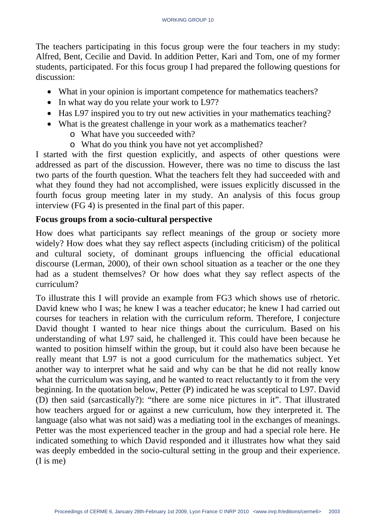The teachers participating in this focus group were the four teachers in my study: Alfred, Bent, Cecilie and David. In addition Petter, Kari and Tom, one of my former students, participated. For this focus group I had prepared the following questions for discussion:

- What in your opinion is important competence for mathematics teachers?
- In what way do you relate your work to L97?
- Has L97 inspired you to try out new activities in your mathematics teaching?
- What is the greatest challenge in your work as a mathematics teacher?
	- o What have you succeeded with?
	- o What do you think you have not yet accomplished?

I started with the first question explicitly, and aspects of other questions were addressed as part of the discussion. However, there was no time to discuss the last two parts of the fourth question. What the teachers felt they had succeeded with and what they found they had not accomplished, were issues explicitly discussed in the fourth focus group meeting later in my study. An analysis of this focus group interview (FG 4) is presented in the final part of this paper.

# **Focus groups from a socio-cultural perspective**

How does what participants say reflect meanings of the group or society more widely? How does what they say reflect aspects (including criticism) of the political and cultural society, of dominant groups influencing the official educational discourse (Lerman, 2000), of their own school situation as a teacher or the one they had as a student themselves? Or how does what they say reflect aspects of the curriculum?

To illustrate this I will provide an example from FG3 which shows use of rhetoric. David knew who I was; he knew I was a teacher educator; he knew I had carried out courses for teachers in relation with the curriculum reform. Therefore, I conjecture David thought I wanted to hear nice things about the curriculum. Based on his understanding of what L97 said, he challenged it. This could have been because he wanted to position himself within the group, but it could also have been because he really meant that L97 is not a good curriculum for the mathematics subject. Yet another way to interpret what he said and why can be that he did not really know what the curriculum was saying, and he wanted to react reluctantly to it from the very beginning. In the quotation below, Petter (P) indicated he was sceptical to L97. David (D) then said (sarcastically?): "there are some nice pictures in it". That illustrated how teachers argued for or against a new curriculum, how they interpreted it. The language (also what was not said) was a mediating tool in the exchanges of meanings. Petter was the most experienced teacher in the group and had a special role here. He indicated something to which David responded and it illustrates how what they said was deeply embedded in the socio-cultural setting in the group and their experience. (I is me)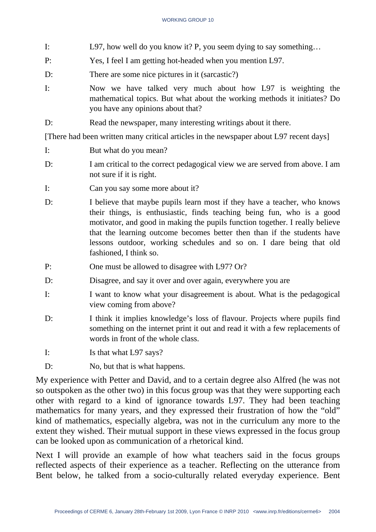- I: L97, how well do you know it? P, you seem dying to say something…
- P: Yes, I feel I am getting hot-headed when you mention L97.
- D: There are some nice pictures in it (sarcastic?)
- I: Now we have talked very much about how L97 is weighting the mathematical topics. But what about the working methods it initiates? Do you have any opinions about that?
- D: Read the newspaper, many interesting writings about it there.

[There had been written many critical articles in the newspaper about L97 recent days]

- I: But what do you mean?
- D: I am critical to the correct pedagogical view we are served from above. I am not sure if it is right.
- I: Can you say some more about it?
- D: I believe that maybe pupils learn most if they have a teacher, who knows their things, is enthusiastic, finds teaching being fun, who is a good motivator, and good in making the pupils function together. I really believe that the learning outcome becomes better then than if the students have lessons outdoor, working schedules and so on. I dare being that old fashioned, I think so.
- P: One must be allowed to disagree with L97? Or?
- D: Disagree, and say it over and over again, everywhere you are
- I: I want to know what your disagreement is about. What is the pedagogical view coming from above?
- D: I think it implies knowledge's loss of flavour. Projects where pupils find something on the internet print it out and read it with a few replacements of words in front of the whole class.
- I: Is that what L97 says?
- D: No, but that is what happens.

My experience with Petter and David, and to a certain degree also Alfred (he was not so outspoken as the other two) in this focus group was that they were supporting each other with regard to a kind of ignorance towards L97. They had been teaching mathematics for many years, and they expressed their frustration of how the "old" kind of mathematics, especially algebra, was not in the curriculum any more to the extent they wished. Their mutual support in these views expressed in the focus group can be looked upon as communication of a rhetorical kind.

Next I will provide an example of how what teachers said in the focus groups reflected aspects of their experience as a teacher. Reflecting on the utterance from Bent below, he talked from a socio-culturally related everyday experience. Bent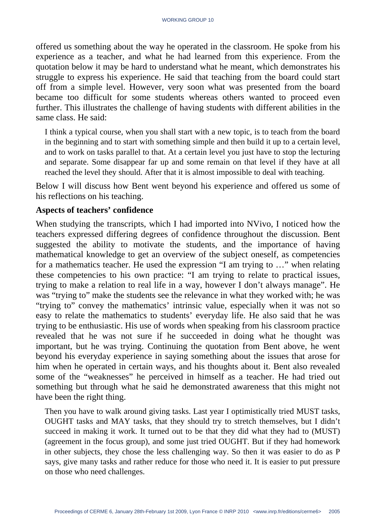offered us something about the way he operated in the classroom. He spoke from his experience as a teacher, and what he had learned from this experience. From the quotation below it may be hard to understand what he meant, which demonstrates his struggle to express his experience. He said that teaching from the board could start off from a simple level. However, very soon what was presented from the board became too difficult for some students whereas others wanted to proceed even further. This illustrates the challenge of having students with different abilities in the same class. He said:

I think a typical course, when you shall start with a new topic, is to teach from the board in the beginning and to start with something simple and then build it up to a certain level, and to work on tasks parallel to that. At a certain level you just have to stop the lecturing and separate. Some disappear far up and some remain on that level if they have at all reached the level they should. After that it is almost impossible to deal with teaching.

Below I will discuss how Bent went beyond his experience and offered us some of his reflections on his teaching.

#### **Aspects of teachers' confidence**

When studying the transcripts, which I had imported into NVivo, I noticed how the teachers expressed differing degrees of confidence throughout the discussion. Bent suggested the ability to motivate the students, and the importance of having mathematical knowledge to get an overview of the subject oneself, as competencies for a mathematics teacher. He used the expression "I am trying to …" when relating these competencies to his own practice: "I am trying to relate to practical issues, trying to make a relation to real life in a way, however I don't always manage". He was "trying to" make the students see the relevance in what they worked with; he was "trying to" convey the mathematics' intrinsic value, especially when it was not so easy to relate the mathematics to students' everyday life. He also said that he was trying to be enthusiastic. His use of words when speaking from his classroom practice revealed that he was not sure if he succeeded in doing what he thought was important, but he was trying. Continuing the quotation from Bent above, he went beyond his everyday experience in saying something about the issues that arose for him when he operated in certain ways, and his thoughts about it. Bent also revealed some of the "weaknesses" he perceived in himself as a teacher. He had tried out something but through what he said he demonstrated awareness that this might not have been the right thing.

Then you have to walk around giving tasks. Last year I optimistically tried MUST tasks, OUGHT tasks and MAY tasks, that they should try to stretch themselves, but I didn't succeed in making it work. It turned out to be that they did what they had to (MUST) (agreement in the focus group), and some just tried OUGHT. But if they had homework in other subjects, they chose the less challenging way. So then it was easier to do as P says, give many tasks and rather reduce for those who need it. It is easier to put pressure on those who need challenges.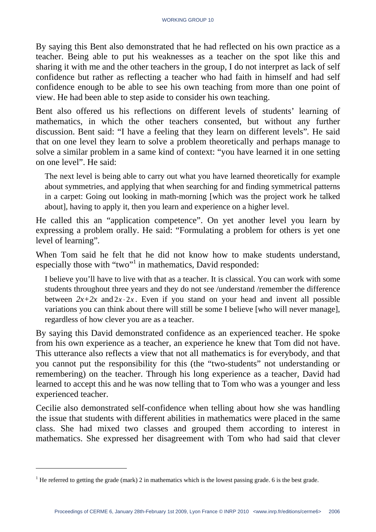By saying this Bent also demonstrated that he had reflected on his own practice as a teacher. Being able to put his weaknesses as a teacher on the spot like this and sharing it with me and the other teachers in the group, I do not interpret as lack of self confidence but rather as reflecting a teacher who had faith in himself and had self confidence enough to be able to see his own teaching from more than one point of view. He had been able to step aside to consider his own teaching.

Bent also offered us his reflections on different levels of students' learning of mathematics, in which the other teachers consented, but without any further discussion. Bent said: "I have a feeling that they learn on different levels"*.* He said that on one level they learn to solve a problem theoretically and perhaps manage to solve a similar problem in a same kind of context: "you have learned it in one setting on one level". He said:

The next level is being able to carry out what you have learned theoretically for example about symmetries, and applying that when searching for and finding symmetrical patterns in a carpet: Going out looking in math-morning [which was the project work he talked about], having to apply it, then you learn and experience on a higher level.

He called this an "application competence". On yet another level you learn by expressing a problem orally. He said: "Formulating a problem for others is yet one level of learning"*.*

When Tom said he felt that he did not know how to make students understand, especially those with "two"<sup>1</sup> in mathematics, David responded:

I believe you'll have to live with that as a teacher. It is classical. You can work with some students throughout three years and they do not see /understand /remember the difference between  $2x+2x$  and  $2x \cdot 2x$ . Even if you stand on your head and invent all possible variations you can think about there will still be some I believe [who will never manage], regardless of how clever you are as a teacher.

By saying this David demonstrated confidence as an experienced teacher. He spoke from his own experience as a teacher, an experience he knew that Tom did not have. This utterance also reflects a view that not all mathematics is for everybody, and that you cannot put the responsibility for this (the "two-students" not understanding or remembering) on the teacher. Through his long experience as a teacher, David had learned to accept this and he was now telling that to Tom who was a younger and less experienced teacher.

Cecilie also demonstrated self-confidence when telling about how she was handling the issue that students with different abilities in mathematics were placed in the same class. She had mixed two classes and grouped them according to interest in mathematics. She expressed her disagreement with Tom who had said that clever

 $\overline{a}$ 

<sup>&</sup>lt;sup>1</sup> He referred to getting the grade (mark) 2 in mathematics which is the lowest passing grade. 6 is the best grade.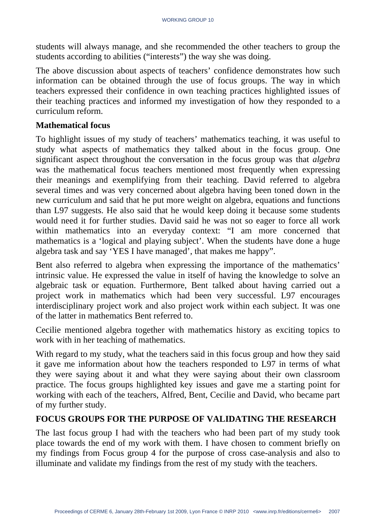students will always manage, and she recommended the other teachers to group the students according to abilities ("interests") the way she was doing.

The above discussion about aspects of teachers' confidence demonstrates how such information can be obtained through the use of focus groups. The way in which teachers expressed their confidence in own teaching practices highlighted issues of their teaching practices and informed my investigation of how they responded to a curriculum reform.

#### **Mathematical focus**

To highlight issues of my study of teachers' mathematics teaching, it was useful to study what aspects of mathematics they talked about in the focus group. One significant aspect throughout the conversation in the focus group was that *algebra* was the mathematical focus teachers mentioned most frequently when expressing their meanings and exemplifying from their teaching. David referred to algebra several times and was very concerned about algebra having been toned down in the new curriculum and said that he put more weight on algebra, equations and functions than L97 suggests. He also said that he would keep doing it because some students would need it for further studies. David said he was not so eager to force all work within mathematics into an everyday context: "I am more concerned that mathematics is a 'logical and playing subject'. When the students have done a huge algebra task and say 'YES I have managed', that makes me happy".

Bent also referred to algebra when expressing the importance of the mathematics' intrinsic value. He expressed the value in itself of having the knowledge to solve an algebraic task or equation. Furthermore, Bent talked about having carried out a project work in mathematics which had been very successful. L97 encourages interdisciplinary project work and also project work within each subject. It was one of the latter in mathematics Bent referred to.

Cecilie mentioned algebra together with mathematics history as exciting topics to work with in her teaching of mathematics.

With regard to my study, what the teachers said in this focus group and how they said it gave me information about how the teachers responded to L97 in terms of what they were saying about it and what they were saying about their own classroom practice. The focus groups highlighted key issues and gave me a starting point for working with each of the teachers, Alfred, Bent, Cecilie and David, who became part of my further study.

## **FOCUS GROUPS FOR THE PURPOSE OF VALIDATING THE RESEARCH**

The last focus group I had with the teachers who had been part of my study took place towards the end of my work with them. I have chosen to comment briefly on my findings from Focus group 4 for the purpose of cross case-analysis and also to illuminate and validate my findings from the rest of my study with the teachers.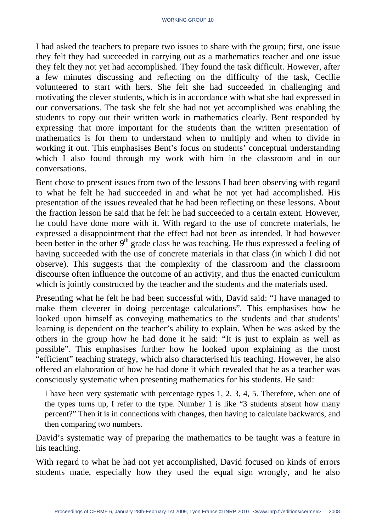I had asked the teachers to prepare two issues to share with the group; first, one issue they felt they had succeeded in carrying out as a mathematics teacher and one issue they felt they not yet had accomplished. They found the task difficult. However, after a few minutes discussing and reflecting on the difficulty of the task, Cecilie volunteered to start with hers. She felt she had succeeded in challenging and motivating the clever students, which is in accordance with what she had expressed in our conversations. The task she felt she had not yet accomplished was enabling the students to copy out their written work in mathematics clearly. Bent responded by expressing that more important for the students than the written presentation of mathematics is for them to understand when to multiply and when to divide in working it out. This emphasises Bent's focus on students' conceptual understanding which I also found through my work with him in the classroom and in our conversations.

Bent chose to present issues from two of the lessons I had been observing with regard to what he felt he had succeeded in and what he not yet had accomplished. His presentation of the issues revealed that he had been reflecting on these lessons. About the fraction lesson he said that he felt he had succeeded to a certain extent. However, he could have done more with it. With regard to the use of concrete materials, he expressed a disappointment that the effect had not been as intended. It had however been better in the other 9<sup>th</sup> grade class he was teaching. He thus expressed a feeling of having succeeded with the use of concrete materials in that class (in which I did not observe). This suggests that the complexity of the classroom and the classroom discourse often influence the outcome of an activity, and thus the enacted curriculum which is jointly constructed by the teacher and the students and the materials used.

Presenting what he felt he had been successful with, David said: "I have managed to make them cleverer in doing percentage calculations"*.* This emphasises how he looked upon himself as conveying mathematics to the students and that students' learning is dependent on the teacher's ability to explain. When he was asked by the others in the group how he had done it he said: "It is just to explain as well as possible". This emphasises further how he looked upon explaining as the most "efficient" teaching strategy, which also characterised his teaching. However, he also offered an elaboration of how he had done it which revealed that he as a teacher was consciously systematic when presenting mathematics for his students. He said:

I have been very systematic with percentage types 1, 2, 3, 4, 5. Therefore, when one of the types turns up, I refer to the type. Number 1 is like "3 students absent how many percent?" Then it is in connections with changes, then having to calculate backwards, and then comparing two numbers.

David's systematic way of preparing the mathematics to be taught was a feature in his teaching.

With regard to what he had not yet accomplished, David focused on kinds of errors students made, especially how they used the equal sign wrongly, and he also